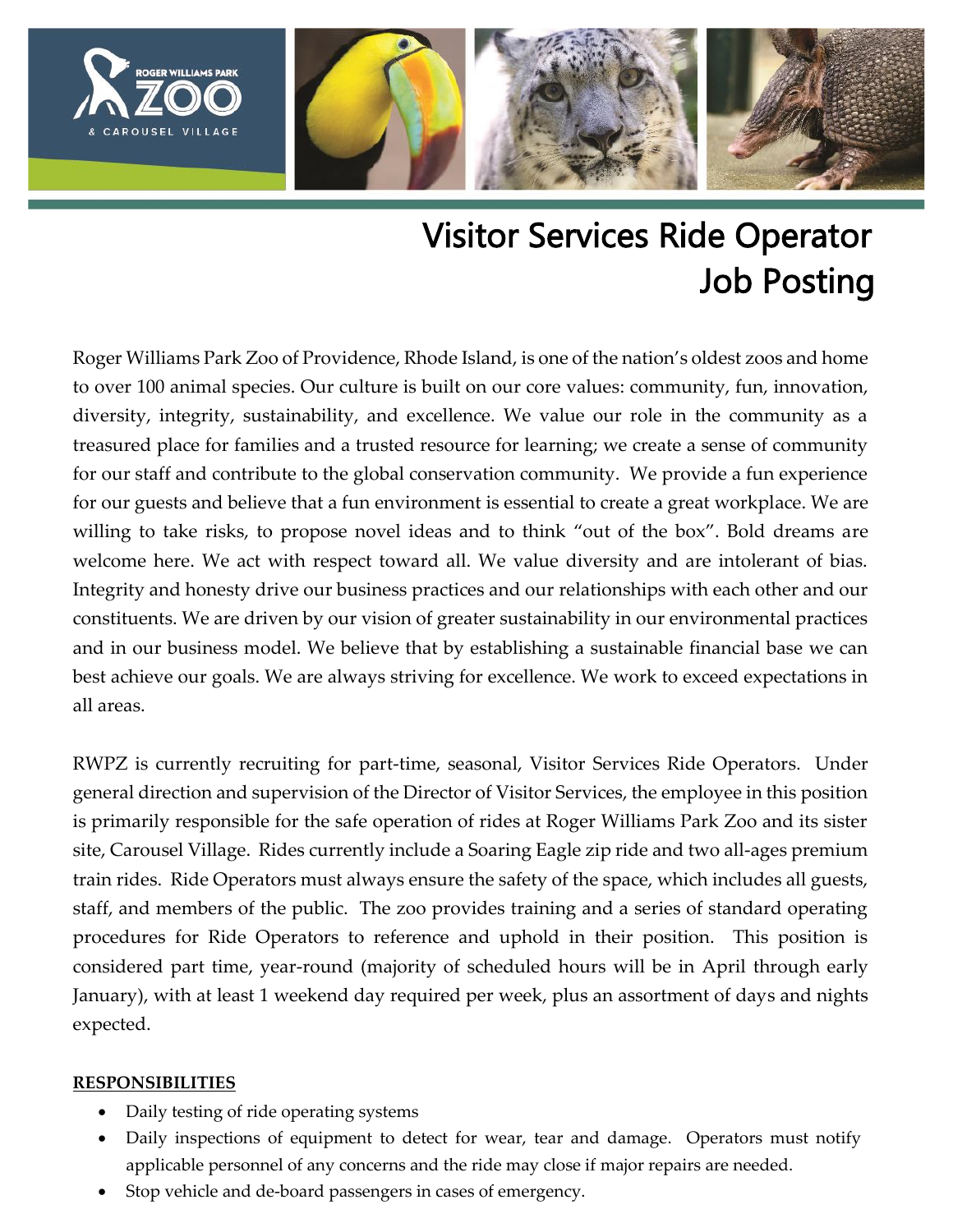

# Visitor Services Ride Operator Job Posting

Roger Williams Park Zoo of Providence, Rhode Island, is one of the nation's oldest zoos and home to over 100 animal species. Our culture is built on our core values: community, fun, innovation, diversity, integrity, sustainability, and excellence. We value our role in the community as a treasured place for families and a trusted resource for learning; we create a sense of community for our staff and contribute to the global conservation community. We provide a fun experience for our guests and believe that a fun environment is essential to create a great workplace. We are willing to take risks, to propose novel ideas and to think "out of the box". Bold dreams are welcome here. We act with respect toward all. We value diversity and are intolerant of bias. Integrity and honesty drive our business practices and our relationships with each other and our constituents. We are driven by our vision of greater sustainability in our environmental practices and in our business model. We believe that by establishing a sustainable financial base we can best achieve our goals. We are always striving for excellence. We work to exceed expectations in all areas.

RWPZ is currently recruiting for part-time, seasonal, Visitor Services Ride Operators. Under general direction and supervision of the Director of Visitor Services, the employee in this position is primarily responsible for the safe operation of rides at Roger Williams Park Zoo and its sister site, Carousel Village. Rides currently include a Soaring Eagle zip ride and two all-ages premium train rides. Ride Operators must always ensure the safety of the space, which includes all guests, staff, and members of the public. The zoo provides training and a series of standard operating procedures for Ride Operators to reference and uphold in their position. This position is considered part time, year-round (majority of scheduled hours will be in April through early January), with at least 1 weekend day required per week, plus an assortment of days and nights expected.

### **RESPONSIBILITIES**

- Daily testing of ride operating systems
- Daily inspections of equipment to detect for wear, tear and damage. Operators must notify applicable personnel of any concerns and the ride may close if major repairs are needed.
- Stop vehicle and de-board passengers in cases of emergency.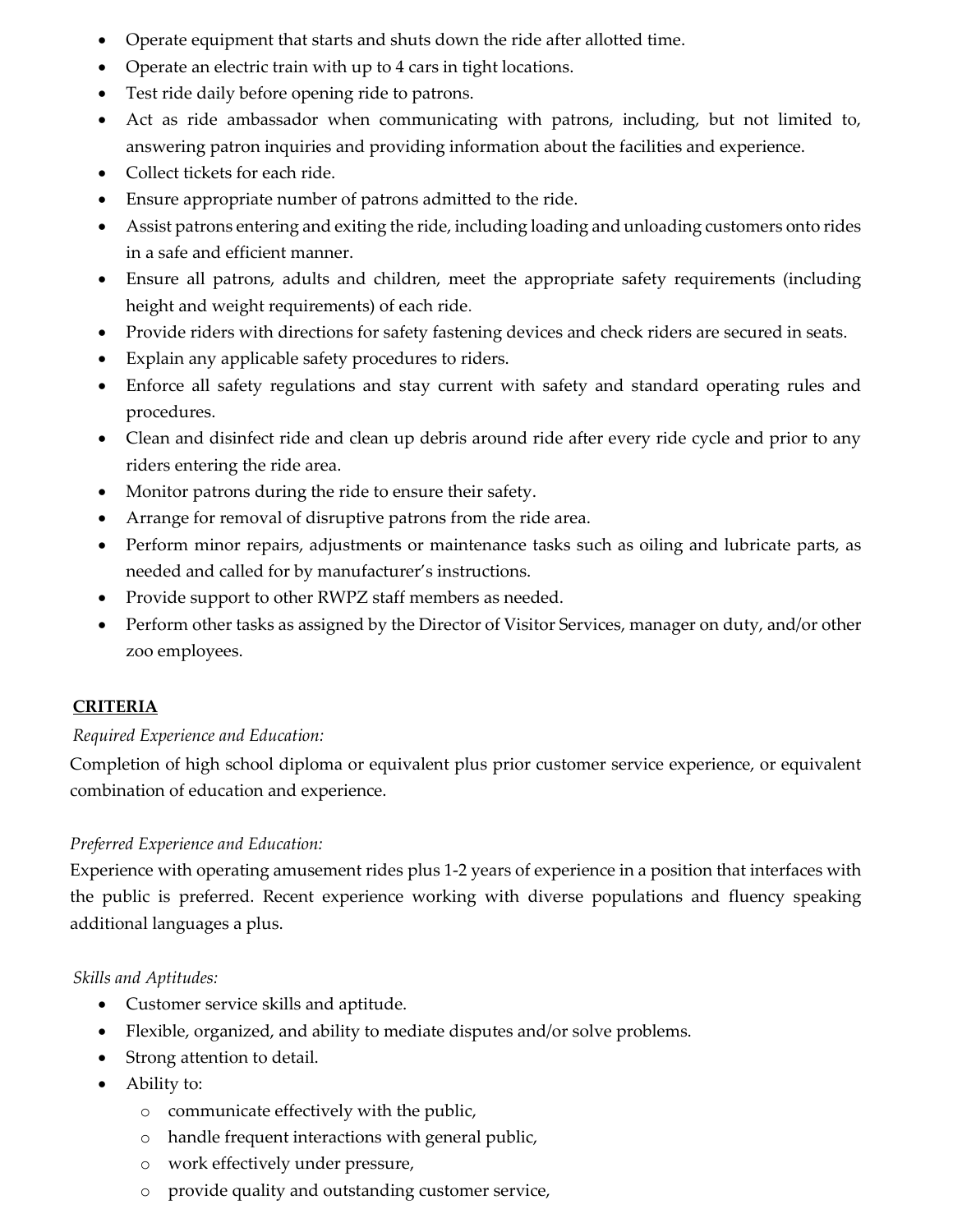- Operate equipment that starts and shuts down the ride after allotted time.
- Operate an electric train with up to 4 cars in tight locations.
- Test ride daily before opening ride to patrons.
- Act as ride ambassador when communicating with patrons, including, but not limited to, answering patron inquiries and providing information about the facilities and experience.
- Collect tickets for each ride.
- Ensure appropriate number of patrons admitted to the ride.
- Assist patrons entering and exiting the ride, including loading and unloading customers onto rides in a safe and efficient manner.
- Ensure all patrons, adults and children, meet the appropriate safety requirements (including height and weight requirements) of each ride.
- Provide riders with directions for safety fastening devices and check riders are secured in seats.
- Explain any applicable safety procedures to riders.
- Enforce all safety regulations and stay current with safety and standard operating rules and procedures.
- Clean and disinfect ride and clean up debris around ride after every ride cycle and prior to any riders entering the ride area.
- Monitor patrons during the ride to ensure their safety.
- Arrange for removal of disruptive patrons from the ride area.
- Perform minor repairs, adjustments or maintenance tasks such as oiling and lubricate parts, as needed and called for by manufacturer's instructions.
- Provide support to other RWPZ staff members as needed.
- Perform other tasks as assigned by the Director of Visitor Services, manager on duty, and/or other zoo employees.

## **CRITERIA**

### *Required Experience and Education:*

Completion of high school diploma or equivalent plus prior customer service experience, or equivalent combination of education and experience.

### *Preferred Experience and Education:*

Experience with operating amusement rides plus 1-2 years of experience in a position that interfaces with the public is preferred. Recent experience working with diverse populations and fluency speaking additional languages a plus.

### *Skills and Aptitudes:*

- Customer service skills and aptitude.
- Flexible, organized, and ability to mediate disputes and/or solve problems.
- Strong attention to detail.
- Ability to:
	- o communicate effectively with the public,
	- o handle frequent interactions with general public,
	- o work effectively under pressure,
	- o provide quality and outstanding customer service,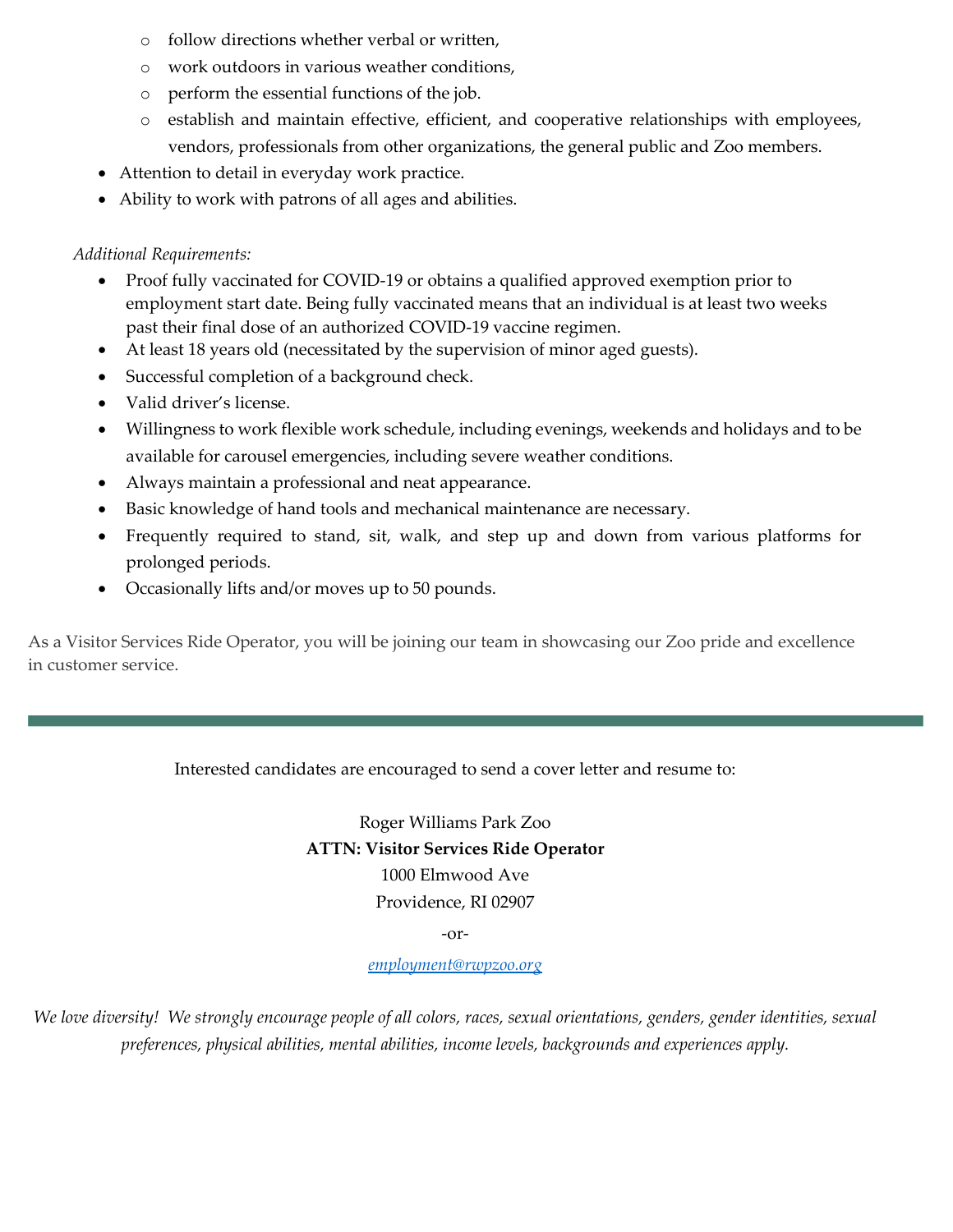- o follow directions whether verbal or written,
- o work outdoors in various weather conditions,
- o perform the essential functions of the job.
- o establish and maintain effective, efficient, and cooperative relationships with employees, vendors, professionals from other organizations, the general public and Zoo members.
- Attention to detail in everyday work practice.
- Ability to work with patrons of all ages and abilities.

*Additional Requirements:*

- Proof fully vaccinated for COVID-19 or obtains a qualified approved exemption prior to employment start date. Being fully vaccinated means that an individual is at least two weeks past their final dose of an authorized COVID-19 vaccine regimen.
- At least 18 years old (necessitated by the supervision of minor aged guests).
- Successful completion of a background check.
- Valid driver's license.
- Willingness to work flexible work schedule, including evenings, weekends and holidays and to be available for carousel emergencies, including severe weather conditions.
- Always maintain a professional and neat appearance.
- Basic knowledge of hand tools and mechanical maintenance are necessary.
- Frequently required to stand, sit, walk, and step up and down from various platforms for prolonged periods.
- Occasionally lifts and/or moves up to 50 pounds.

As a Visitor Services Ride Operator, you will be joining our team in showcasing our Zoo pride and excellence in customer service.

#### Interested candidates are encouraged to send a cover letter and resume to:

Roger Williams Park Zoo **ATTN: Visitor Services Ride Operator** 1000 Elmwood Ave Providence, RI 02907

-or-

#### *[employment@rwpzoo.org](mailto:employment@rwpzoo.org)*

*We love diversity! We strongly encourage people of all colors, races, sexual orientations, genders, gender identities, sexual preferences, physical abilities, mental abilities, income levels, backgrounds and experiences apply.*